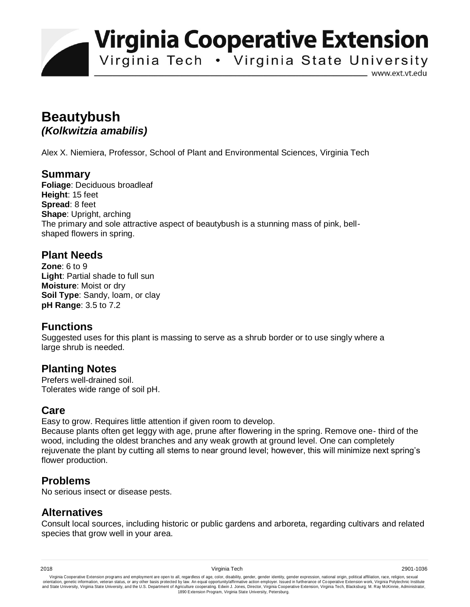**Virginia Cooperative Extension** 

Virginia Tech . Virginia State University

www.ext.vt.edu

# **Beautybush**  *(Kolkwitzia amabilis)*

Alex X. Niemiera, Professor, School of Plant and Environmental Sciences, Virginia Tech

# **Summary**

**Foliage**: Deciduous broadleaf **Height**: 15 feet **Spread**: 8 feet **Shape**: Upright, arching The primary and sole attractive aspect of beautybush is a stunning mass of pink, bellshaped flowers in spring.

### **Plant Needs**

**Zone**: 6 to 9 **Light**: Partial shade to full sun **Moisture**: Moist or dry **Soil Type**: Sandy, loam, or clay **pH Range**: 3.5 to 7.2

# **Functions**

Suggested uses for this plant is massing to serve as a shrub border or to use singly where a large shrub is needed.

#### **Planting Notes**

Prefers well-drained soil. Tolerates wide range of soil pH.

#### **Care**

Easy to grow. Requires little attention if given room to develop.

Because plants often get leggy with age, prune after flowering in the spring. Remove one- third of the wood, including the oldest branches and any weak growth at ground level. One can completely rejuvenate the plant by cutting all stems to near ground level; however, this will minimize next spring's flower production.

#### **Problems**

No serious insect or disease pests.

# **Alternatives**

Consult local sources, including historic or public gardens and arboreta, regarding cultivars and related species that grow well in your area.

Virginia Cooperative Extension programs and employment are open to all, regardless of age, color, disability, gender, gender identity, gender expression, national origin, political affiliation, race, religion, sexual وrie 1890 Extension Program, Virginia State University, Petersburg.